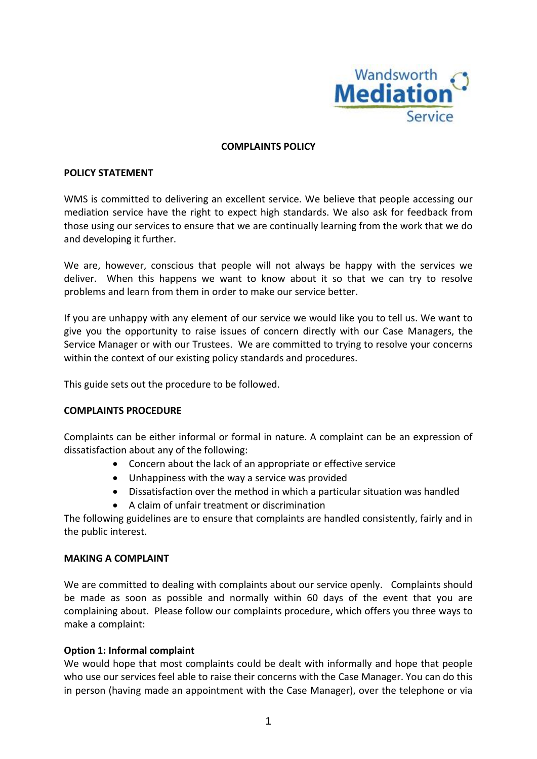

#### **COMPLAINTS POLICY**

#### **POLICY STATEMENT**

WMS is committed to delivering an excellent service. We believe that people accessing our mediation service have the right to expect high standards. We also ask for feedback from those using our services to ensure that we are continually learning from the work that we do and developing it further.

We are, however, conscious that people will not always be happy with the services we deliver. When this happens we want to know about it so that we can try to resolve problems and learn from them in order to make our service better.

If you are unhappy with any element of our service we would like you to tell us. We want to give you the opportunity to raise issues of concern directly with our Case Managers, the Service Manager or with our Trustees. We are committed to trying to resolve your concerns within the context of our existing policy standards and procedures.

This guide sets out the procedure to be followed.

## **COMPLAINTS PROCEDURE**

Complaints can be either informal or formal in nature. A complaint can be an expression of dissatisfaction about any of the following:

- Concern about the lack of an appropriate or effective service
- Unhappiness with the way a service was provided
- Dissatisfaction over the method in which a particular situation was handled
- A claim of unfair treatment or discrimination

The following guidelines are to ensure that complaints are handled consistently, fairly and in the public interest.

## **MAKING A COMPLAINT**

We are committed to dealing with complaints about our service openly. Complaints should be made as soon as possible and normally within 60 days of the event that you are complaining about. Please follow our complaints procedure, which offers you three ways to make a complaint:

## **Option 1: Informal complaint**

We would hope that most complaints could be dealt with informally and hope that people who use our services feel able to raise their concerns with the Case Manager. You can do this in person (having made an appointment with the Case Manager), over the telephone or via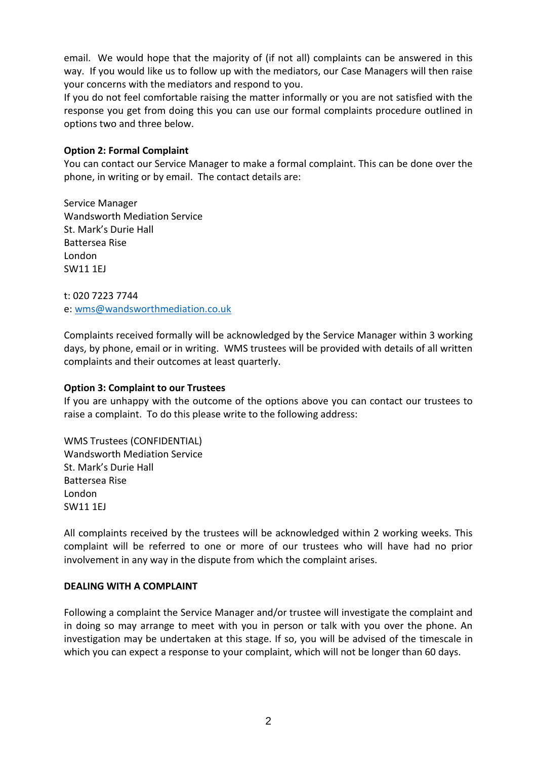email. We would hope that the majority of (if not all) complaints can be answered in this way. If you would like us to follow up with the mediators, our Case Managers will then raise your concerns with the mediators and respond to you.

If you do not feel comfortable raising the matter informally or you are not satisfied with the response you get from doing this you can use our formal complaints procedure outlined in options two and three below.

# **Option 2: Formal Complaint**

You can contact our Service Manager to make a formal complaint. This can be done over the phone, in writing or by email. The contact details are:

Service Manager Wandsworth Mediation Service St. Mark's Durie Hall Battersea Rise London SW11 1EJ

t: 020 7223 7744 e: [wms@wandsworthmediation.co.uk](mailto:wms@wandsworthmediation.co.uk)

Complaints received formally will be acknowledged by the Service Manager within 3 working days, by phone, email or in writing. WMS trustees will be provided with details of all written complaints and their outcomes at least quarterly.

## **Option 3: Complaint to our Trustees**

If you are unhappy with the outcome of the options above you can contact our trustees to raise a complaint. To do this please write to the following address:

WMS Trustees (CONFIDENTIAL) Wandsworth Mediation Service St. Mark's Durie Hall Battersea Rise London SW11 1EJ

All complaints received by the trustees will be acknowledged within 2 working weeks. This complaint will be referred to one or more of our trustees who will have had no prior involvement in any way in the dispute from which the complaint arises.

## **DEALING WITH A COMPLAINT**

Following a complaint the Service Manager and/or trustee will investigate the complaint and in doing so may arrange to meet with you in person or talk with you over the phone. An investigation may be undertaken at this stage. If so, you will be advised of the timescale in which you can expect a response to your complaint, which will not be longer than 60 days.